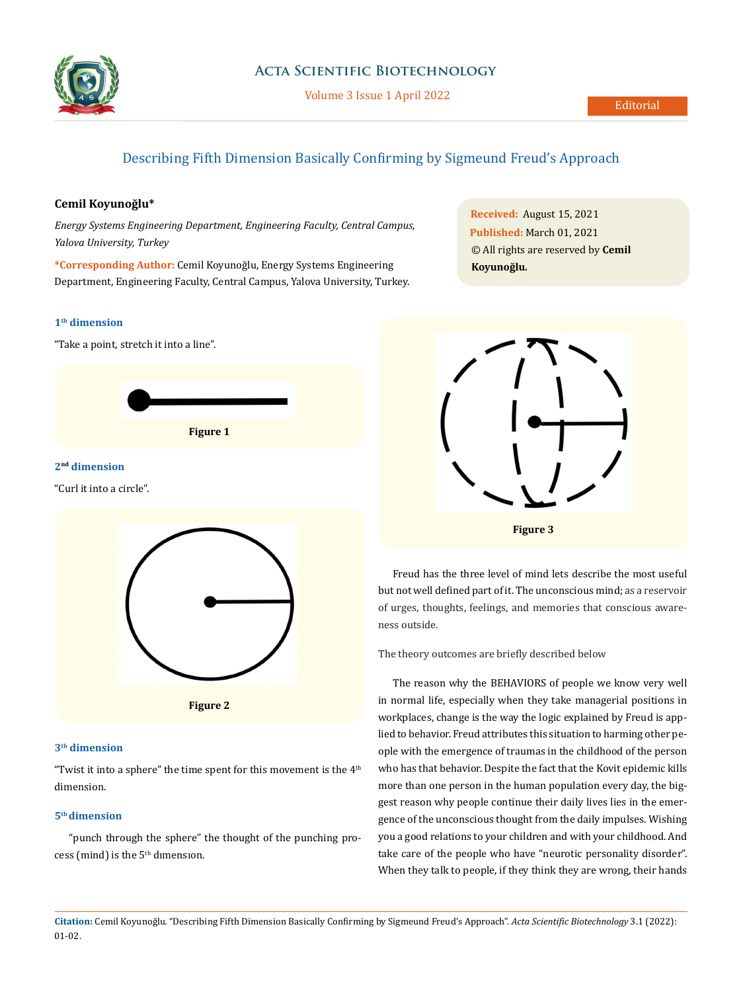

Volume 3 Issue 1 April 2022

# Describing Fifth Dimension Basically Confirming by Sigmeund Freud's Approach

## **Cemil Koyunoğlu\***

*Energy Systems Engineering Department, Engineering Faculty, Central Campus, Yalova University, Turkey*

**\*Corresponding Author:** Cemil Koyunoğlu, Energy Systems Engineering Department, Engineering Faculty, Central Campus, Yalova University, Turkey.

### **1th dimension**

"Take a point, stretch it into a line".



## **2nd dimension**

"Curl it into a circle".



#### **3th dimension**

"Twist it into a sphere" the time spent for this movement is the  $4<sup>th</sup>$ dimension.

#### **5th dimension**

"punch through the sphere" the thought of the punching process (mind) is the  $5<sup>th</sup>$  dimension.

**Received:** August 15, 2021 **Published:** March 01, 2021 © All rights are reserved by **Cemil Koyunoğlu***.*



Freud has the three level of mind lets describe the most useful but not well defined part of it. The unconscious mind; as a reservoir of urges, thoughts, feelings, and memories that conscious awareness outside.

#### The theory outcomes are briefly described below

The reason why the BEHAVIORS of people we know very well in normal life, especially when they take managerial positions in workplaces, change is the way the logic explained by Freud is applied to behavior. Freud attributes this situation to harming other people with the emergence of traumas in the childhood of the person who has that behavior. Despite the fact that the Kovit epidemic kills more than one person in the human population every day, the biggest reason why people continue their daily lives lies in the emergence of the unconscious thought from the daily impulses. Wishing you a good relations to your children and with your childhood. And take care of the people who have "neurotic personality disorder". When they talk to people, if they think they are wrong, their hands

**Citation:** Cemil Koyunoğlu*.* "Describing Fifth Dimension Basically Confirming by Sigmeund Freud's Approach". *Acta Scientific Biotechnology* 3.1 (2022): 01-02.